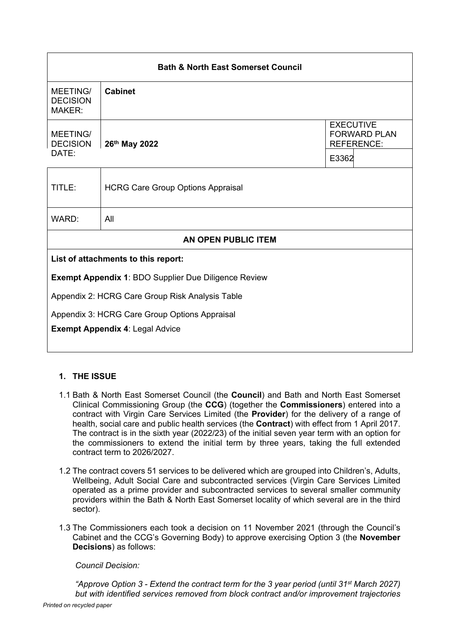| <b>Bath &amp; North East Somerset Council</b>               |                                          |       |                                                              |  |
|-------------------------------------------------------------|------------------------------------------|-------|--------------------------------------------------------------|--|
| MEETING/<br><b>DECISION</b><br><b>MAKER:</b>                | <b>Cabinet</b>                           |       |                                                              |  |
| MEETING/<br><b>DECISION</b>                                 | 26th May 2022                            |       | <b>EXECUTIVE</b><br><b>FORWARD PLAN</b><br><b>REFERENCE:</b> |  |
| DATE:                                                       |                                          | E3362 |                                                              |  |
| TITLE:                                                      | <b>HCRG Care Group Options Appraisal</b> |       |                                                              |  |
| WARD:                                                       | All                                      |       |                                                              |  |
| AN OPEN PUBLIC ITEM                                         |                                          |       |                                                              |  |
| List of attachments to this report:                         |                                          |       |                                                              |  |
| <b>Exempt Appendix 1: BDO Supplier Due Diligence Review</b> |                                          |       |                                                              |  |
| Appendix 2: HCRG Care Group Risk Analysis Table             |                                          |       |                                                              |  |
| Appendix 3: HCRG Care Group Options Appraisal               |                                          |       |                                                              |  |
| <b>Exempt Appendix 4: Legal Advice</b>                      |                                          |       |                                                              |  |

# **1. THE ISSUE**

- 1.1 Bath & North East Somerset Council (the **Council**) and Bath and North East Somerset Clinical Commissioning Group (the **CCG**) (together the **Commissioners**) entered into a contract with Virgin Care Services Limited (the **Provider**) for the delivery of a range of health, social care and public health services (the **Contract**) with effect from 1 April 2017. The contract is in the sixth year (2022/23) of the initial seven year term with an option for the commissioners to extend the initial term by three years, taking the full extended contract term to 2026/2027.
- 1.2 The contract covers 51 services to be delivered which are grouped into Children's, Adults, Wellbeing, Adult Social Care and subcontracted services (Virgin Care Services Limited operated as a prime provider and subcontracted services to several smaller community providers within the Bath & North East Somerset locality of which several are in the third sector).
- 1.3 The Commissioners each took a decision on 11 November 2021 (through the Council's Cabinet and the CCG's Governing Body) to approve exercising Option 3 (the **November Decisions**) as follows:

*Council Decision:*

*"Approve Option 3 - Extend the contract term for the 3 year period (until 31st March 2027) but with identified services removed from block contract and/or improvement trajectories*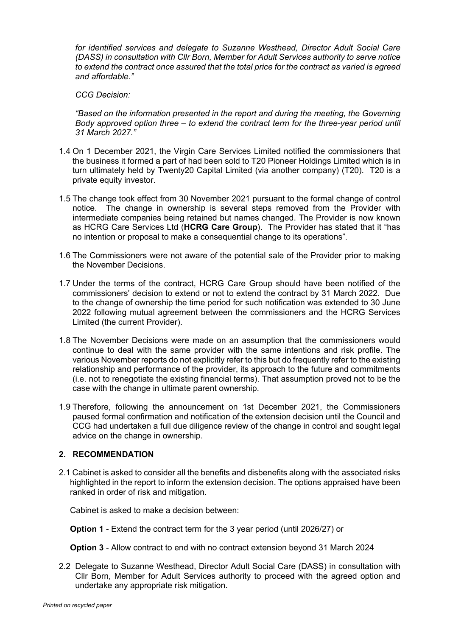*for identified services and delegate to Suzanne Westhead, Director Adult Social Care (DASS) in consultation with Cllr Born, Member for Adult Services authority to serve notice to extend the contract once assured that the total price for the contract as varied is agreed and affordable."*

*CCG Decision:*

*"Based on the information presented in the report and during the meeting, the Governing Body approved option three – to extend the contract term for the three-year period until 31 March 2027."*

- 1.4 On 1 December 2021, the Virgin Care Services Limited notified the commissioners that the business it formed a part of had been sold to T20 Pioneer Holdings Limited which is in turn ultimately held by Twenty20 Capital Limited (via another company) (T20). T20 is a private equity investor.
- 1.5 The change took effect from 30 November 2021 pursuant to the formal change of control notice. The change in ownership is several steps removed from the Provider with intermediate companies being retained but names changed. The Provider is now known as HCRG Care Services Ltd (**HCRG Care Group**). The Provider has stated that it "has no intention or proposal to make a consequential change to its operations".
- 1.6 The Commissioners were not aware of the potential sale of the Provider prior to making the November Decisions.
- 1.7 Under the terms of the contract, HCRG Care Group should have been notified of the commissioners' decision to extend or not to extend the contract by 31 March 2022. Due to the change of ownership the time period for such notification was extended to 30 June 2022 following mutual agreement between the commissioners and the HCRG Services Limited (the current Provider).
- 1.8 The November Decisions were made on an assumption that the commissioners would continue to deal with the same provider with the same intentions and risk profile. The various November reports do not explicitly refer to this but do frequently refer to the existing relationship and performance of the provider, its approach to the future and commitments (i.e. not to renegotiate the existing financial terms). That assumption proved not to be the case with the change in ultimate parent ownership.
- 1.9 Therefore, following the announcement on 1st December 2021, the Commissioners paused formal confirmation and notification of the extension decision until the Council and CCG had undertaken a full due diligence review of the change in control and sought legal advice on the change in ownership.

# **2. RECOMMENDATION**

2.1 Cabinet is asked to consider all the benefits and disbenefits along with the associated risks highlighted in the report to inform the extension decision. The options appraised have been ranked in order of risk and mitigation.

Cabinet is asked to make a decision between:

**Option 1** - Extend the contract term for the 3 year period (until 2026/27) or

**Option 3** - Allow contract to end with no contract extension beyond 31 March 2024

2.2 Delegate to Suzanne Westhead, Director Adult Social Care (DASS) in consultation with Cllr Born, Member for Adult Services authority to proceed with the agreed option and undertake any appropriate risk mitigation.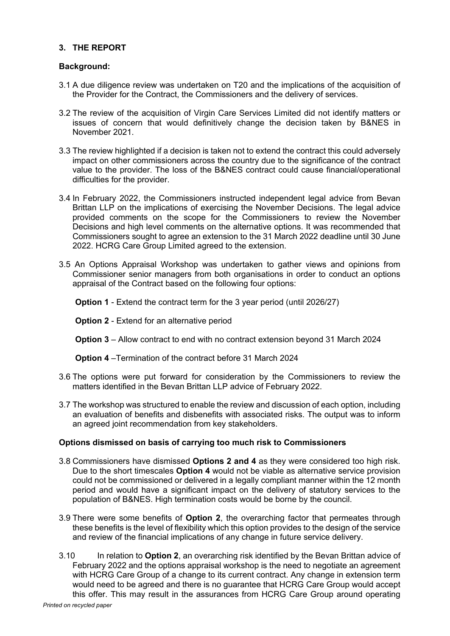# **3. THE REPORT**

### **Background:**

- 3.1 A due diligence review was undertaken on T20 and the implications of the acquisition of the Provider for the Contract, the Commissioners and the delivery of services.
- 3.2 The review of the acquisition of Virgin Care Services Limited did not identify matters or issues of concern that would definitively change the decision taken by B&NES in November 2021.
- 3.3 The review highlighted if a decision is taken not to extend the contract this could adversely impact on other commissioners across the country due to the significance of the contract value to the provider. The loss of the B&NES contract could cause financial/operational difficulties for the provider.
- 3.4 In February 2022, the Commissioners instructed independent legal advice from Bevan Brittan LLP on the implications of exercising the November Decisions. The legal advice provided comments on the scope for the Commissioners to review the November Decisions and high level comments on the alternative options. It was recommended that Commissioners sought to agree an extension to the 31 March 2022 deadline until 30 June 2022. HCRG Care Group Limited agreed to the extension.
- 3.5 An Options Appraisal Workshop was undertaken to gather views and opinions from Commissioner senior managers from both organisations in order to conduct an options appraisal of the Contract based on the following four options:

**Option 1** - Extend the contract term for the 3 year period (until 2026/27)

**Option 2** - Extend for an alternative period

**Option 3** – Allow contract to end with no contract extension beyond 31 March 2024

**Option 4** –Termination of the contract before 31 March 2024

- 3.6 The options were put forward for consideration by the Commissioners to review the matters identified in the Bevan Brittan LLP advice of February 2022.
- 3.7 The workshop was structured to enable the review and discussion of each option, including an evaluation of benefits and disbenefits with associated risks. The output was to inform an agreed joint recommendation from key stakeholders.

# **Options dismissed on basis of carrying too much risk to Commissioners**

- 3.8 Commissioners have dismissed **Options 2 and 4** as they were considered too high risk. Due to the short timescales **Option 4** would not be viable as alternative service provision could not be commissioned or delivered in a legally compliant manner within the 12 month period and would have a significant impact on the delivery of statutory services to the population of B&NES. High termination costs would be borne by the council.
- 3.9 There were some benefits of **Option 2**, the overarching factor that permeates through these benefits is the level of flexibility which this option provides to the design of the service and review of the financial implications of any change in future service delivery.
- 3.10 In relation to **Option 2**, an overarching risk identified by the Bevan Brittan advice of February 2022 and the options appraisal workshop is the need to negotiate an agreement with HCRG Care Group of a change to its current contract. Any change in extension term would need to be agreed and there is no guarantee that HCRG Care Group would accept this offer. This may result in the assurances from HCRG Care Group around operating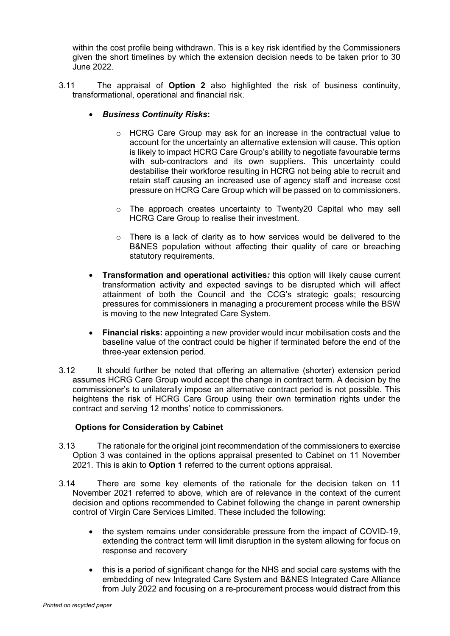within the cost profile being withdrawn. This is a key risk identified by the Commissioners given the short timelines by which the extension decision needs to be taken prior to 30 June 2022.

- 3.11 The appraisal of **Option 2** also highlighted the risk of business continuity, transformational, operational and financial risk.
	- *Business Continuity Risks***:**
		- $\circ$  HCRG Care Group may ask for an increase in the contractual value to account for the uncertainty an alternative extension will cause. This option is likely to impact HCRG Care Group's ability to negotiate favourable terms with sub-contractors and its own suppliers. This uncertainty could destabilise their workforce resulting in HCRG not being able to recruit and retain staff causing an increased use of agency staff and increase cost pressure on HCRG Care Group which will be passed on to commissioners.
		- o The approach creates uncertainty to Twenty20 Capital who may sell HCRG Care Group to realise their investment.
		- $\circ$  There is a lack of clarity as to how services would be delivered to the B&NES population without affecting their quality of care or breaching statutory requirements.
	- **Transformation and operational activities***:* this option will likely cause current transformation activity and expected savings to be disrupted which will affect attainment of both the Council and the CCG's strategic goals; resourcing pressures for commissioners in managing a procurement process while the BSW is moving to the new Integrated Care System.
	- **Financial risks:** appointing a new provider would incur mobilisation costs and the baseline value of the contract could be higher if terminated before the end of the three-year extension period.
- 3.12 It should further be noted that offering an alternative (shorter) extension period assumes HCRG Care Group would accept the change in contract term. A decision by the commissioner's to unilaterally impose an alternative contract period is not possible. This heightens the risk of HCRG Care Group using their own termination rights under the contract and serving 12 months' notice to commissioners.

# **Options for Consideration by Cabinet**

- 3.13 The rationale for the original joint recommendation of the commissioners to exercise Option 3 was contained in the options appraisal presented to Cabinet on 11 November 2021. This is akin to **Option 1** referred to the current options appraisal.
- 3.14 There are some key elements of the rationale for the decision taken on 11 November 2021 referred to above, which are of relevance in the context of the current decision and options recommended to Cabinet following the change in parent ownership control of Virgin Care Services Limited. These included the following:
	- the system remains under considerable pressure from the impact of COVID-19. extending the contract term will limit disruption in the system allowing for focus on response and recovery
	- this is a period of significant change for the NHS and social care systems with the embedding of new Integrated Care System and B&NES Integrated Care Alliance from July 2022 and focusing on a re-procurement process would distract from this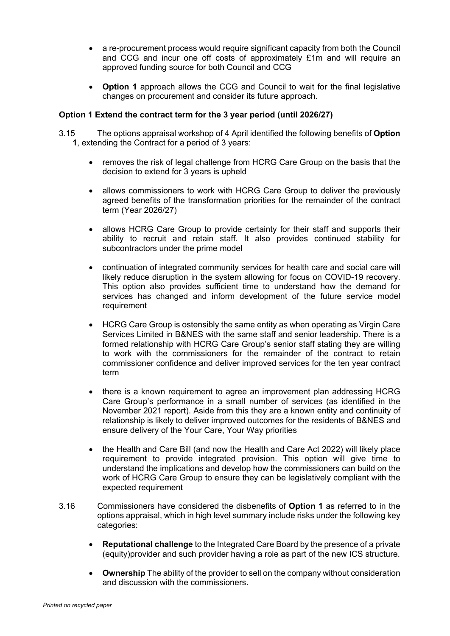- a re-procurement process would require significant capacity from both the Council and CCG and incur one off costs of approximately £1m and will require an approved funding source for both Council and CCG
- **Option 1** approach allows the CCG and Council to wait for the final legislative changes on procurement and consider its future approach.

# **Option 1 Extend the contract term for the 3 year period (until 2026/27)**

- 3.15 The options appraisal workshop of 4 April identified the following benefits of **Option 1**, extending the Contract for a period of 3 years:
	- removes the risk of legal challenge from HCRG Care Group on the basis that the decision to extend for 3 years is upheld
	- allows commissioners to work with HCRG Care Group to deliver the previously agreed benefits of the transformation priorities for the remainder of the contract term (Year 2026/27)
	- allows HCRG Care Group to provide certainty for their staff and supports their ability to recruit and retain staff. It also provides continued stability for subcontractors under the prime model
	- continuation of integrated community services for health care and social care will likely reduce disruption in the system allowing for focus on COVID-19 recovery. This option also provides sufficient time to understand how the demand for services has changed and inform development of the future service model requirement
	- HCRG Care Group is ostensibly the same entity as when operating as Virgin Care Services Limited in B&NES with the same staff and senior leadership. There is a formed relationship with HCRG Care Group's senior staff stating they are willing to work with the commissioners for the remainder of the contract to retain commissioner confidence and deliver improved services for the ten year contract term
	- there is a known requirement to agree an improvement plan addressing HCRG Care Group's performance in a small number of services (as identified in the November 2021 report). Aside from this they are a known entity and continuity of relationship is likely to deliver improved outcomes for the residents of B&NES and ensure delivery of the Your Care, Your Way priorities
	- the Health and Care Bill (and now the Health and Care Act 2022) will likely place requirement to provide integrated provision. This option will give time to understand the implications and develop how the commissioners can build on the work of HCRG Care Group to ensure they can be legislatively compliant with the expected requirement
- 3.16 Commissioners have considered the disbenefits of **Option 1** as referred to in the options appraisal, which in high level summary include risks under the following key categories:
	- **Reputational challenge** to the Integrated Care Board by the presence of a private (equity)provider and such provider having a role as part of the new ICS structure.
	- **Ownership** The ability of the provider to sell on the company without consideration and discussion with the commissioners.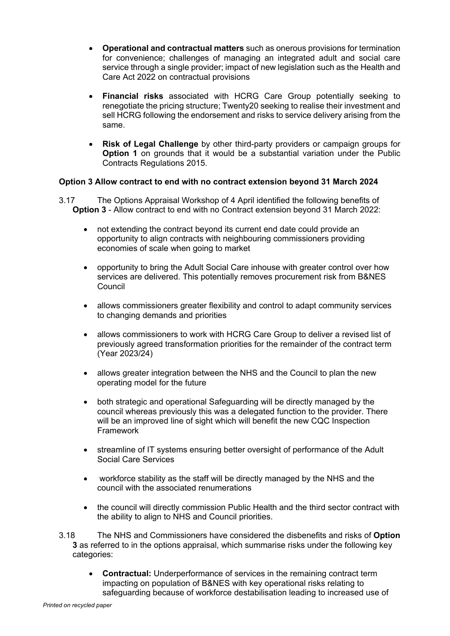- **Operational and contractual matters** such as onerous provisions for termination for convenience; challenges of managing an integrated adult and social care service through a single provider; impact of new legislation such as the Health and Care Act 2022 on contractual provisions
- **Financial risks** associated with HCRG Care Group potentially seeking to renegotiate the pricing structure; Twenty20 seeking to realise their investment and sell HCRG following the endorsement and risks to service delivery arising from the same.
- **Risk of Legal Challenge** by other third-party providers or campaign groups for **Option 1** on grounds that it would be a substantial variation under the Public Contracts Regulations 2015.

# **Option 3 Allow contract to end with no contract extension beyond 31 March 2024**

- 3.17 The Options Appraisal Workshop of 4 April identified the following benefits of **Option 3** - Allow contract to end with no Contract extension beyond 31 March 2022:
	- not extending the contract beyond its current end date could provide an opportunity to align contracts with neighbouring commissioners providing economies of scale when going to market
	- opportunity to bring the Adult Social Care inhouse with greater control over how services are delivered. This potentially removes procurement risk from B&NES Council
	- allows commissioners greater flexibility and control to adapt community services to changing demands and priorities
	- allows commissioners to work with HCRG Care Group to deliver a revised list of previously agreed transformation priorities for the remainder of the contract term (Year 2023/24)
	- allows greater integration between the NHS and the Council to plan the new operating model for the future
	- both strategic and operational Safeguarding will be directly managed by the council whereas previously this was a delegated function to the provider. There will be an improved line of sight which will benefit the new CQC Inspection Framework
	- streamline of IT systems ensuring better oversight of performance of the Adult Social Care Services
	- workforce stability as the staff will be directly managed by the NHS and the council with the associated renumerations
	- the council will directly commission Public Health and the third sector contract with the ability to align to NHS and Council priorities.
- 3.18 The NHS and Commissioners have considered the disbenefits and risks of **Option 3** as referred to in the options appraisal, which summarise risks under the following key categories:
	- **Contractual:** Underperformance of services in the remaining contract term impacting on population of B&NES with key operational risks relating to safeguarding because of workforce destabilisation leading to increased use of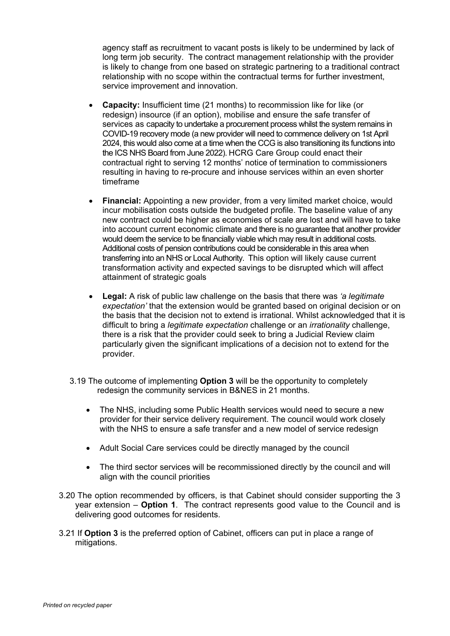agency staff as recruitment to vacant posts is likely to be undermined by lack of long term job security. The contract management relationship with the provider is likely to change from one based on strategic partnering to a traditional contract relationship with no scope within the contractual terms for further investment, service improvement and innovation.

- **Capacity:** Insufficient time (21 months) to recommission like for like (or redesign) insource (if an option), mobilise and ensure the safe transfer of services as capacity to undertake a procurement process whilst the system remains in COVID-19 recovery mode (a new provider will need to commence delivery on 1st April 2024, this would also come at a time when the CCG is also transitioning its functions into the ICS NHS Board from June 2022). HCRG Care Group could enact their contractual right to serving 12 months' notice of termination to commissioners resulting in having to re-procure and inhouse services within an even shorter timeframe
- **Financial:** Appointing a new provider, from a very limited market choice, would incur mobilisation costs outside the budgeted profile. The baseline value of any new contract could be higher as economies of scale are lost and will have to take into account current economic climate and there is no guarantee that another provider would deem the service to be financially viable which may result in additional costs. Additional costs of pension contributions could be considerable in this area when transferring into an NHS or Local Authority. This option will likely cause current transformation activity and expected savings to be disrupted which will affect attainment of strategic goals
- **Legal:** A risk of public law challenge on the basis that there was *'a legitimate expectation'* that the extension would be granted based on original decision or on the basis that the decision not to extend is irrational. Whilst acknowledged that it is difficult to bring a *legitimate expectation* challenge or an *irrationality* challenge, there is a risk that the provider could seek to bring a Judicial Review claim particularly given the significant implications of a decision not to extend for the provider.
- 3.19 The outcome of implementing **Option 3** will be the opportunity to completely redesign the community services in B&NES in 21 months.
	- The NHS, including some Public Health services would need to secure a new provider for their service delivery requirement. The council would work closely with the NHS to ensure a safe transfer and a new model of service redesign
	- Adult Social Care services could be directly managed by the council
	- The third sector services will be recommissioned directly by the council and will align with the council priorities
- 3.20 The option recommended by officers, is that Cabinet should consider supporting the 3 year extension – **Option 1**. The contract represents good value to the Council and is delivering good outcomes for residents.
- 3.21 If **Option 3** is the preferred option of Cabinet, officers can put in place a range of mitigations.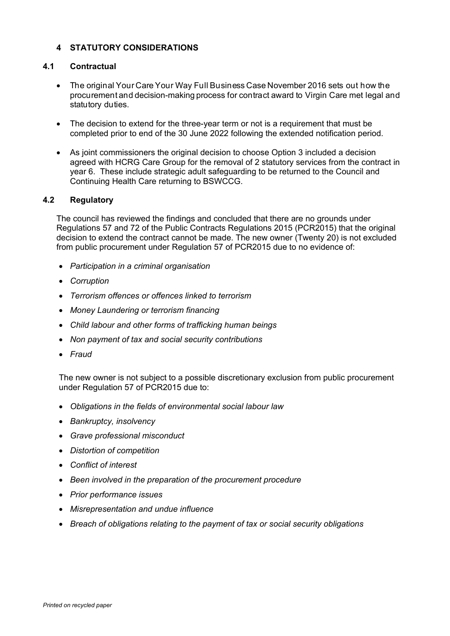# **4 STATUTORY CONSIDERATIONS**

### **4.1 Contractual**

- The original Your Care Your Way Full Business Case November 2016 sets out how the procurement and decision-making process for contract award to Virgin Care met legal and statutory duties.
- The decision to extend for the three-year term or not is a requirement that must be completed prior to end of the 30 June 2022 following the extended notification period.
- As joint commissioners the original decision to choose Option 3 included a decision agreed with HCRG Care Group for the removal of 2 statutory services from the contract in year 6. These include strategic adult safeguarding to be returned to the Council and Continuing Health Care returning to BSWCCG.

### **4.2 Regulatory**

The council has reviewed the findings and concluded that there are no grounds under Regulations 57 and 72 of the Public Contracts Regulations 2015 (PCR2015) that the original decision to extend the contract cannot be made. The new owner (Twenty 20) is not excluded from public procurement under Regulation 57 of PCR2015 due to no evidence of:

- *Participation in a criminal organisation*
- *Corruption*
- *Terrorism offences or offences linked to terrorism*
- *Money Laundering or terrorism financing*
- *Child labour and other forms of trafficking human beings*
- *Non payment of tax and social security contributions*
- *Fraud*

The new owner is not subject to a possible discretionary exclusion from public procurement under Regulation 57 of PCR2015 due to:

- *Obligations in the fields of environmental social labour law*
- *Bankruptcy, insolvency*
- *Grave professional misconduct*
- *Distortion of competition*
- *Conflict of interest*
- *Been involved in the preparation of the procurement procedure*
- *Prior performance issues*
- *Misrepresentation and undue influence*
- *Breach of obligations relating to the payment of tax or social security obligations*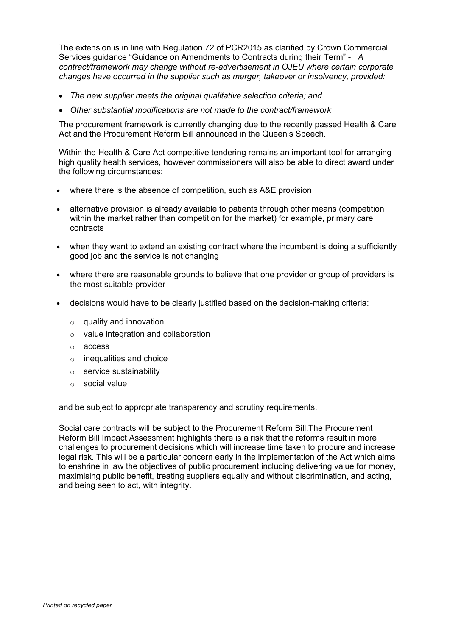The extension is in line with Regulation 72 of PCR2015 as clarified by Crown Commercial Services guidance "Guidance on Amendments to Contracts during their Term" - *A contract/framework may change without re-advertisement in OJEU where certain corporate changes have occurred in the supplier such as merger, takeover or insolvency, provided:*

- *The new supplier meets the original qualitative selection criteria; and*
- *Other substantial modifications are not made to the contract/framework*

The procurement framework is currently changing due to the recently passed Health & Care Act and the Procurement Reform Bill announced in the Queen's Speech.

Within the Health & Care Act competitive tendering remains an important tool for arranging high quality health services, however commissioners will also be able to direct award under the following circumstances:

- where there is the absence of competition, such as A&E provision
- alternative provision is already available to patients through other means (competition within the market rather than competition for the market) for example, primary care contracts
- when they want to extend an existing contract where the incumbent is doing a sufficiently good job and the service is not changing
- where there are reasonable grounds to believe that one provider or group of providers is the most suitable provider
- decisions would have to be clearly justified based on the decision-making criteria:
	- $\circ$  quality and innovation
	- o value integration and collaboration
	- o access
	- $\circ$  inequalities and choice
	- o service sustainability
	- o social value

and be subject to appropriate transparency and scrutiny requirements.

Social care contracts will be subject to the Procurement Reform Bill.The Procurement Reform Bill Impact Assessment highlights there is a risk that the reforms result in more challenges to procurement decisions which will increase time taken to procure and increase legal risk. This will be a particular concern early in the implementation of the Act which aims to enshrine in law the objectives of public procurement including delivering value for money, maximising public benefit, treating suppliers equally and without discrimination, and acting, and being seen to act, with integrity.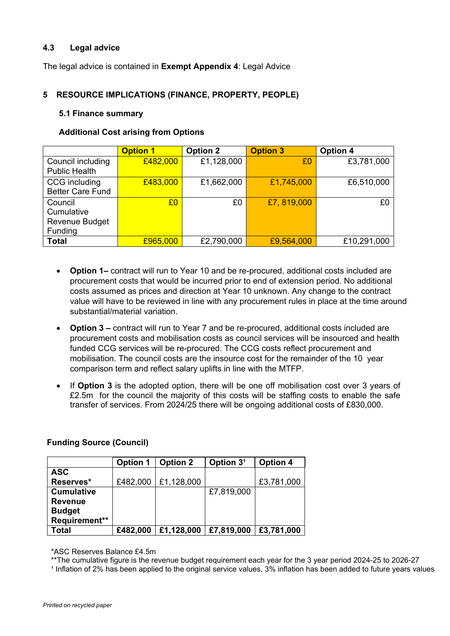# **4.3 Legal advice**

The legal advice is contained in **Exempt Appendix 4**: Legal Advice

# **5 RESOURCE IMPLICATIONS (FINANCE, PROPERTY, PEOPLE)**

### **5.1 Finance summary**

# **Additional Cost arising from Options**

|                         | <b>Option 1</b> | <b>Option 2</b> | <b>Option 3</b> | <b>Option 4</b> |
|-------------------------|-----------------|-----------------|-----------------|-----------------|
| Council including       | £482,000        | £1,128,000      | £0              | £3,781,000      |
| <b>Public Health</b>    |                 |                 |                 |                 |
| CCG including           | £483,000        | £1,662,000      | £1,745,000      | £6,510,000      |
| <b>Better Care Fund</b> |                 |                 |                 |                 |
| Council                 | £0              | £0              | £7,819,000      | £0              |
| Cumulative              |                 |                 |                 |                 |
| <b>Revenue Budget</b>   |                 |                 |                 |                 |
| Funding                 |                 |                 |                 |                 |
| <b>Total</b>            | £965,000        | £2,790,000      | £9,564,000      | £10,291,000     |

- **Option 1–** contract will run to Year 10 and be re-procured, additional costs included are procurement costs that would be incurred prior to end of extension period. No additional costs assumed as prices and direction at Year 10 unknown. Any change to the contract value will have to be reviewed in line with any procurement rules in place at the time around substantial/material variation.
- **Option 3 –** contract will run to Year 7 and be re-procured, additional costs included are procurement costs and mobilisation costs as council services will be insourced and health funded CCG services will be re-procured. The CCG costs reflect procurement and mobilisation. The council costs are the insource cost for the remainder of the 10 year comparison term and reflect salary uplifts in line with the MTFP.
- If **Option 3** is the adopted option, there will be one off mobilisation cost over 3 years of £2.5m for the council the majority of this costs will be staffing costs to enable the safe transfer of services. From 2024/25 there will be ongoing additional costs of £830,000.

|                   | <b>Option 1</b> | <b>Option 2</b>       | Option 3 <sup>1</sup> | <b>Option 4</b> |
|-------------------|-----------------|-----------------------|-----------------------|-----------------|
| <b>ASC</b>        |                 |                       |                       |                 |
| Reserves*         |                 | £482,000   £1,128,000 |                       | £3,781,000      |
| <b>Cumulative</b> |                 |                       | £7,819,000            |                 |
| <b>Revenue</b>    |                 |                       |                       |                 |
| <b>Budget</b>     |                 |                       |                       |                 |
| Requirement**     |                 |                       |                       |                 |
| Total             | £482,000        | £1,128,000            | £7,819,000            | £3,781,000      |

# **Funding Source (Council)**

\*ASC Reserves Balance £4.5m

\*\*The cumulative figure is the revenue budget requirement each year for the 3 year period 2024-25 to 2026-27

 $1$  Inflation of 2% has been applied to the original service values,  $3%$  inflation has been added to future years values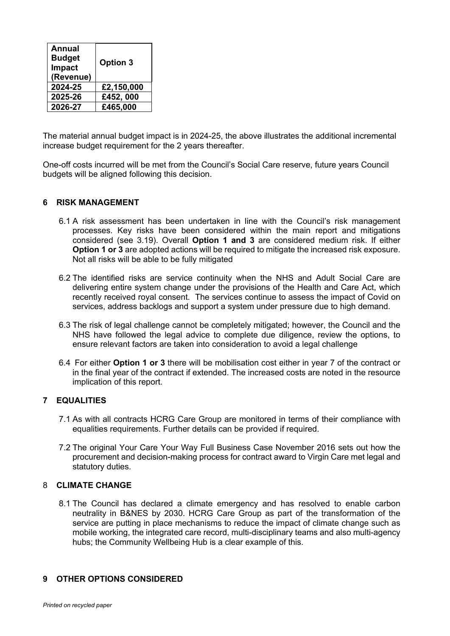| <b>Annual</b><br><b>Budget</b><br><b>Impact</b><br>(Revenue) | <b>Option 3</b> |
|--------------------------------------------------------------|-----------------|
| 2024-25                                                      | £2,150,000      |
| 2025-26                                                      | £452,000        |
| 2026-27                                                      | £465,000        |

The material annual budget impact is in 2024-25, the above illustrates the additional incremental increase budget requirement for the 2 years thereafter.

One-off costs incurred will be met from the Council's Social Care reserve, future years Council budgets will be aligned following this decision.

### **6 RISK MANAGEMENT**

- 6.1 A risk assessment has been undertaken in line with the Council's risk management processes. Key risks have been considered within the main report and mitigations considered (see 3.19). Overall **Option 1 and 3** are considered medium risk. If either **Option 1 or 3** are adopted actions will be required to mitigate the increased risk exposure. Not all risks will be able to be fully mitigated
- 6.2 The identified risks are service continuity when the NHS and Adult Social Care are delivering entire system change under the provisions of the Health and Care Act, which recently received royal consent. The services continue to assess the impact of Covid on services, address backlogs and support a system under pressure due to high demand.
- 6.3 The risk of legal challenge cannot be completely mitigated; however, the Council and the NHS have followed the legal advice to complete due diligence, review the options, to ensure relevant factors are taken into consideration to avoid a legal challenge
- 6.4 For either **Option 1 or 3** there will be mobilisation cost either in year 7 of the contract or in the final year of the contract if extended. The increased costs are noted in the resource implication of this report.

# **7 EQUALITIES**

- 7.1 As with all contracts HCRG Care Group are monitored in terms of their compliance with equalities requirements. Further details can be provided if required.
- 7.2 The original Your Care Your Way Full Business Case November 2016 sets out how the procurement and decision-making process for contract award to Virgin Care met legal and statutory duties.

#### 8 **CLIMATE CHANGE**

8.1 The Council has declared a climate emergency and has resolved to enable carbon neutrality in B&NES by 2030. HCRG Care Group as part of the transformation of the service are putting in place mechanisms to reduce the impact of climate change such as mobile working, the integrated care record, multi-disciplinary teams and also multi-agency hubs; the Community Wellbeing Hub is a clear example of this.

#### **9 OTHER OPTIONS CONSIDERED**